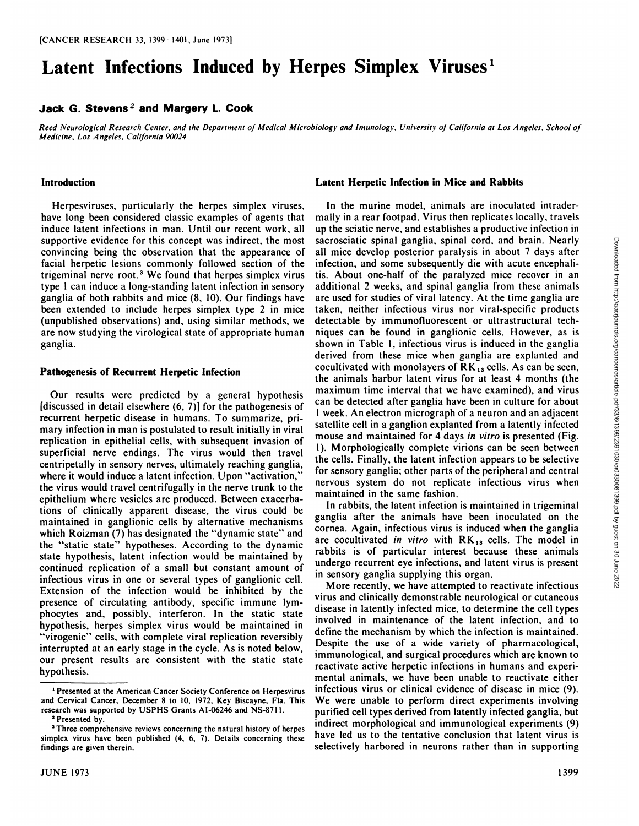# **Latent Infections Induced by Herpes Simplex Viruses<sup>1</sup>**

## **Jack G. Stevens- and Margery L. Cook**

Reed Neurological Research Center, and the Department of Medical Microbiology and Imunology, University of California at Los Angeles, School of *Medicine, Los Angeles. California 90024*

#### **Introduction**

Herpesviruses. particularly the herpes simplex viruses, have long been considered classic examples of agents that induce latent infections in man. Until our recent work, all supportive evidence for this concept was indirect, the most convincing being the observation that the appearance of facial herpetic lesions commonly followed section of the trigeminal nerve root.3 We found that herpes simplex virus type 1 can induce a long-standing latent infection in sensory ganglia of both rabbits and mice (8, 10). Our findings have been extended to include herpes simplex type 2 in mice (unpublished observations) and, using similar methods, we are now studying the virological state of appropriate human ganglia.

#### **Pathogenesis of Recurrent Herpetic Infection**

Our results were predicted by a general hypothesis [discussed in detail elsewhere  $(6, 7)$ ] for the pathogenesis of recurrent herpetic disease in humans. To summarize, pri mary infection in man is postulated to result initially in viral replication in epithelial cells, with subsequent invasion of superficial nerve endings. The virus would then travel centripetally in sensory nerves, ultimately reaching ganglia, where it would induce <sup>a</sup> latent infection. Upon "activation," the virus would travel centrifugally in the nerve trunk to the epithelium where vesicles are produced. Between exacerba tions of clinically apparent disease, the virus could be maintained in ganglionic cells by alternative mechanisms which Roizman (7) has designated the "dynamic state" and the "static state" hypotheses. According to the dynamic state hypothesis, latent infection would be maintained by continued replication of a small but constant amount of infectious virus in one or several types of ganglionic cell. Extension of the infection would be inhibited by the presence of circulating antibody, specific immune lym phocytes and, possibly, Interferon. In the static state hypothesis, herpes simplex virus would be maintained in "virogenic" cells, with complete viral replication reversibly interrupted at an early stage in the cycle. As is noted below, our present results are consistent with the static state hypothesis.

#### **Latent Herpetic Infection in Mice and Rabbits**

In the murine model, animals are inoculated intradermally in a rear footpad. Virus then replicates locally, travels up the sciatic nerve, and establishes a productive infection in sacrosciatic spinal ganglia, spinal cord, and brain. Nearly<br>all mice develop posterior paralysis in about 7 days after<br>infection, and some subsequently die with acute encephali-<br>tis. About one-half of the paralyzed mice r all mice develop posterior paralysis in about 7 days after infection, and some subsequently die with acute encephali tis. About one-half of the paralyzed mice recover in an additional 2 weeks, and spinal ganglia from these animals are used for studies of viral latency. At the time ganglia are taken, neither infectious virus nor viral-specific products detectable by immunofluorescent or ultrastructural tech niques can be found in ganglionic cells. However, as is shown in Table 1, infectious virus is induced in the ganglia derived from these mice when ganglia are explanted and cocultivated with monolayers of  $\overline{RK}_{13}$  cells. As can be seen, the animals harbor latent virus for at least 4 months (the maximum time interval that we have examined), and virus can be detected after ganglia have been in culture for about 1week. An electron micrograph of a neuron and an adjacent satellite cell in a ganglion explanted from a latently infected mouse and maintained for 4 days in vitro is presented (Fig. 1). Morphologically complete virions can be seen between the cells. Finally, the latent infection appears to be selective for sensory ganglia; other parts of the peripheral and central nervous system do not replicate infectious virus when maintained in the same fashion.

In rabbits, the latent infection is maintained in trigeminal ganglia after the animals have been inoculated on the cornea. Again, infectious virus is induced when the ganglia are cocultivated in vitro with  $RK_{13}$  cells. The model in rabbits is of particular interest because these animals undergo recurrent eye infections, and latent virus is present in sensory ganglia supplying this organ.

More recently, we have attempted to reactivate infectious virus and clinically demonstrable neurological or cutaneous disease in latently infected mice, to determine the cell types involved in maintenance of the latent infection, and to define the mechanism by which the infection is maintained. Despite the use of a wide variety of pharmacological, immunological, and surgical procedures which are known to reactivate active herpetic infections in humans and experi mental animals, we have been unable to reactivate either infectious virus or clinical evidence of disease in mice (9). We were unable to perform direct experiments involving purified cell types derived from latently infected ganglia, but indirect morphological and immunological experiments (9) have led us to the tentative conclusion that latent virus is selectively harbored in neurons rather than in supporting

<sup>&</sup>lt;sup>1</sup> Presented at the American Cancer Society Conference on Herpesvirus and Cervical Cancer, December 8 to 10,1972, Key Biscayne, Fla. This research was supported by USPHS Grants AI-06246 and NS-8711.

<sup>&</sup>lt;sup>2</sup> Presented by.

<sup>&</sup>lt;sup>3</sup> Three comprehensive reviews concerning the natural history of herpes simplex virus have been published (4, 6, 7). Details concerning these findings are given therein.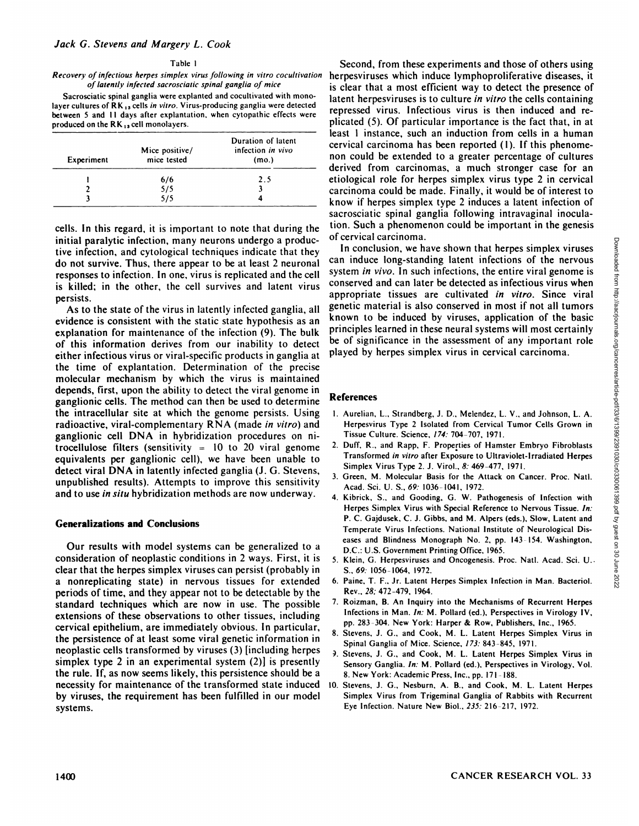#### Table I

#### *Recovery ofinfectious herpes simplex virusfollowing in vitro cocullivation of latently infected sacrosciatic spinal ganglia of mice*

Sacrosciatic spinal ganglia were explanted and cocultivated with monolayer cultures of  $RK_{13}$  cells in vitro. Virus-producing ganglia were detected between 5 and 11 days after explantation, when cytopathic effects were produced on the  $RK_{13}$  cell monolayers.

| Experiment | Mice positive/<br>mice tested | Duration of latent<br>infection in vivo<br>(m <sub>0</sub> ) |
|------------|-------------------------------|--------------------------------------------------------------|
|            | 6/6                           | 2.5                                                          |
|            | 5/5                           |                                                              |
|            | 5/5                           |                                                              |

cells. In this regard, it is important to note that during the initial paralytic infection, many neurons undergo a produc tive infection, and cytological techniques indicate that they do not survive. Thus, there appear to be at least 2 neuronal responses to infection. In one, virus is replicated and the cell is killed: in the other, the cell survives and latent virus persists.

As to the state of the virus in latently infected ganglia, all evidence is consistent with the static state hypothesis as an explanation for maintenance of the infection (9).The bulk of this information derives from our inability to detect either infectious virus or viral-specific products in ganglia at the time of explantation. Determination of the precise molecular mechanism by which the virus is maintained depends, first, upon the ability to detect the viral genome in ganglionic cells. The method can then be used to determine the intracellular site at which the genome persists. Using radioactive, viral-complementary RNA (made in vitro) and ganglionic cell DNA in hybridization procedures on ni trocellulose filters (sensitivity  $= 10$  to 20 viral genome equivalents per ganglionic cell), we have been unable to detect viral DNA in latently infected ganglia (J.G. Stevens, unpublished results). Attempts to improve this sensitivity and to use in situ hybridization methods are now underway.

### **Generalizations and Conclusions**

Our results with model systems can be generalized to a consideration of neoplastic conditions in 2 ways. First, it is clear that the herpes simplex viruses can persist (probably in a nonreplicating state) in nervous tissues for extended periods of time, and they appear not to be detectable by the standard techniques which are now in use. The possible extensions of these observations to other tissues, including cervical epithelium, are immediately obvious. In particular, the persistence of at least some viral genetic information in neoplastic cells transformed by viruses (3) [including herpes simplex type 2 in an experimental system (2)] is presently the rule. If, as now seems likely, this persistence should be a necessity for maintenance of the transformed state induced by viruses, the requirement has been fulfilled in our model systems.

Second, from these experiments and those of others using herpesviruses which induce lymphoproliferative diseases, it is clear that a most efficient way to detect the presence of latent herpesviruses is to culture in vitro the cells containing repressed virus. Infectious virus is then induced and re plicated (5). Of particular importance is the fact that, in at least 1 instance, such an induction from cells in a human cervical carcinoma has been reported (1). If this phenome non could be extended to a greater percentage of cultures derived from carcinomas, a much stronger case for an etiological role for herpes simplex virus type 2 in cervical carcinoma could be made. Finally, it would be of interest to know if herpes simplex type 2 induces a latent infection of sacrosciatic spinal ganglia following intravaginal inocula tion. Such a phenomenon could be important in the genesis of cervical carcinoma.

Erive and The Virus Internation and The Alternation of the nervous stem *in* wive. In conclusion, we have shown that herpes simplex viruses simplex simples in stem of wive. In such infections, the entire viral genome is t can induce long-standing latent infections of the nervous system *in vivo*. In such infections, the entire viral genome is conserved and can later be detected as infectious virus when appropriate tissues are cultivated in vitro. Since viral genetic material is also conserved in most if not all tumors known to be induced by viruses, application of the basic principles learned in these neural systems will most certainly be of significance in the assessment of any important role played by herpes simplex virus in cervical carcinoma.

### **References**

- 1. Aurelian, L., Strandberg, J. D., Melendez, L. V.. and Johnson, L. A. Herpesvirus Type 2 Isolated from Cervical Tumor Cells Grown in Tissue Culture. Science, 174: 704-707, 1971.
- 2. Duff. R.. and Rapp. F. Properties of Hamster Embryo Fibroblasts Transformed in vitro after Exposure to Ultraviolet-Irradiated Herpes Simplex Virus Type 2.J. Virol., 8: 469-477, 1971.
- 3. Green. M. Molecular Basis for the Attack on Cancer. Proc. Nati. Acad. Sci. U. S., 69: 1036-1041, 1972.
- 4. Kibrick, S., and Gooding, G. W. Pathogenesis of Infection with Herpes Simplex Virus with Special Reference to Nervous Tissue. In: P. C. Gajdusek, C. J. Gibbs, and M. Alpers (eds.), Slow, Latent and Temperate Virus Infections. National Institute of Neurological Dis eases and Blindness Monograph No. 2, pp. 143-154. Washington, D.C.: U.S. Government Printing Office. 1965.
- 5. Klein. G. Herpesviruses and Oncogenesis. Proc. Nati. Acad. Sei. U.. S., 69: 1056-1064, 1972.
- 6. Paine, T. F.. Jr. Latent Herpes Simplex Infection in Man. Bacteriol. Rev.. 28: 472-479. 1964.
- 7. Roizman, B. An Inquiry into the Mechanisms of Recurrent Herpes Infections in Man. In: M. Pollard (ed.), Perspectives in Virology IV, pp. 283-304. New York: Harper & Row, Publishers, Inc., 1965.
- 8. Stevens, J. G., and Cook, M. L. Latent Herpes Simplex Virus in Spinal Ganglia of Mice. Science, 173: 843-845, 1971.
- *). Stevens, J. G.. and Cook, M. L. Latent Herpes Simplex Virus in* Sensory Ganglia. In: M. Pollard (ed.). Perspectives in Virology, Vol. 8. New York: Academic Press, Inc., pp. 171-188.
- 10. Stevens. J. G., Nesburn, A. B., and Cook, M. L. Latent Herpes Simplex Virus from Trigeminal Ganglia of Rabbits with Recurrent Eye Infection. Nature New Biol., 235: 216-217, 1972.